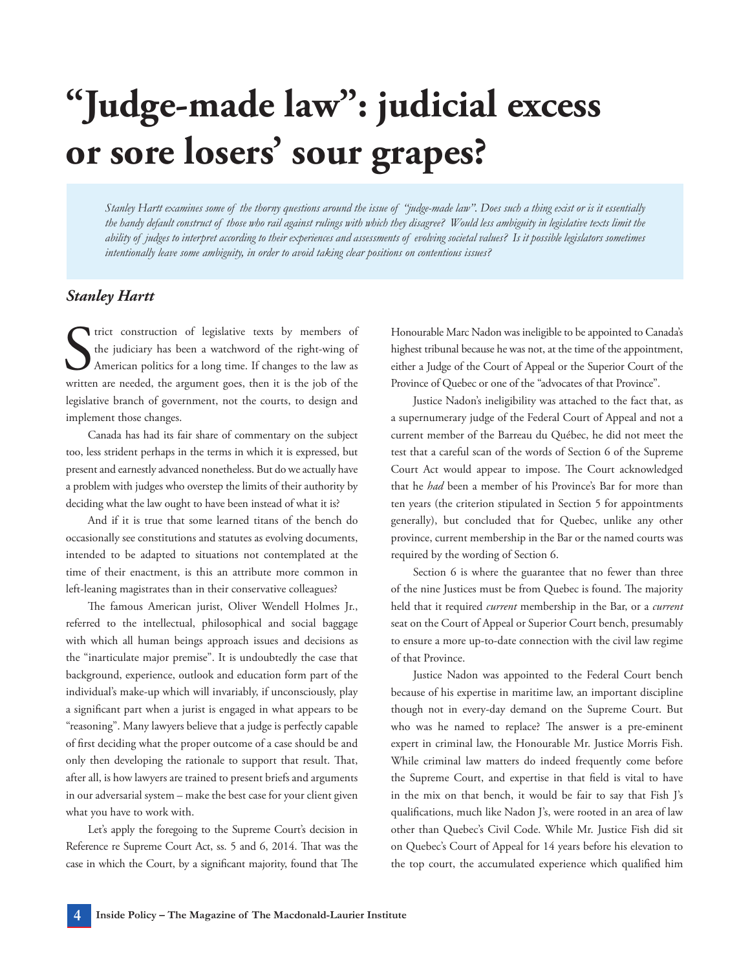## **"Judge-made law": judicial excess or sore losers' sour grapes?**

*Stanley Hartt examines some of the thorny questions around the issue of "judge-made law". Does such a thing exist or is it essentially the handy default construct of those who rail against rulings with which they disagree? Would less ambiguity in legislative texts limit the ability of judges to interpret according to their experiences and assessments of evolving societal values? Is it possible legislators sometimes intentionally leave some ambiguity, in order to avoid taking clear positions on contentious issues?*

## *Stanley Hartt*

In trict construction of legislative texts by members of the judiciary has been a watchword of the right-wing of American politics for a long time. If changes to the law as written are needed, the argument goes, then it is trict construction of legislative texts by members of the judiciary has been a watchword of the right-wing of American politics for a long time. If changes to the law as legislative branch of government, not the courts, to design and implement those changes.

Canada has had its fair share of commentary on the subject too, less strident perhaps in the terms in which it is expressed, but present and earnestly advanced nonetheless. But do we actually have a problem with judges who overstep the limits of their authority by deciding what the law ought to have been instead of what it is?

And if it is true that some learned titans of the bench do occasionally see constitutions and statutes as evolving documents, intended to be adapted to situations not contemplated at the time of their enactment, is this an attribute more common in left-leaning magistrates than in their conservative colleagues?

The famous American jurist, Oliver Wendell Holmes Jr., referred to the intellectual, philosophical and social baggage with which all human beings approach issues and decisions as the "inarticulate major premise". It is undoubtedly the case that background, experience, outlook and education form part of the individual's make-up which will invariably, if unconsciously, play a significant part when a jurist is engaged in what appears to be "reasoning". Many lawyers believe that a judge is perfectly capable of first deciding what the proper outcome of a case should be and only then developing the rationale to support that result. That, after all, is how lawyers are trained to present briefs and arguments in our adversarial system – make the best case for your client given what you have to work with.

Let's apply the foregoing to the Supreme Court's decision in Reference re Supreme Court Act, ss. 5 and 6, 2014. That was the case in which the Court, by a significant majority, found that The

Honourable Marc Nadon was ineligible to be appointed to Canada's highest tribunal because he was not, at the time of the appointment, either a Judge of the Court of Appeal or the Superior Court of the Province of Quebec or one of the "advocates of that Province".

Justice Nadon's ineligibility was attached to the fact that, as a supernumerary judge of the Federal Court of Appeal and not a current member of the Barreau du Québec, he did not meet the test that a careful scan of the words of Section 6 of the Supreme Court Act would appear to impose. The Court acknowledged that he *had* been a member of his Province's Bar for more than ten years (the criterion stipulated in Section 5 for appointments generally), but concluded that for Quebec, unlike any other province, current membership in the Bar or the named courts was required by the wording of Section 6.

Section 6 is where the guarantee that no fewer than three of the nine Justices must be from Quebec is found. The majority held that it required *current* membership in the Bar, or a *current* seat on the Court of Appeal or Superior Court bench, presumably to ensure a more up-to-date connection with the civil law regime of that Province.

Justice Nadon was appointed to the Federal Court bench because of his expertise in maritime law, an important discipline though not in every-day demand on the Supreme Court. But who was he named to replace? The answer is a pre-eminent expert in criminal law, the Honourable Mr. Justice Morris Fish. While criminal law matters do indeed frequently come before the Supreme Court, and expertise in that field is vital to have in the mix on that bench, it would be fair to say that Fish J's qualifications, much like Nadon J's, were rooted in an area of law other than Quebec's Civil Code. While Mr. Justice Fish did sit on Quebec's Court of Appeal for 14 years before his elevation to the top court, the accumulated experience which qualified him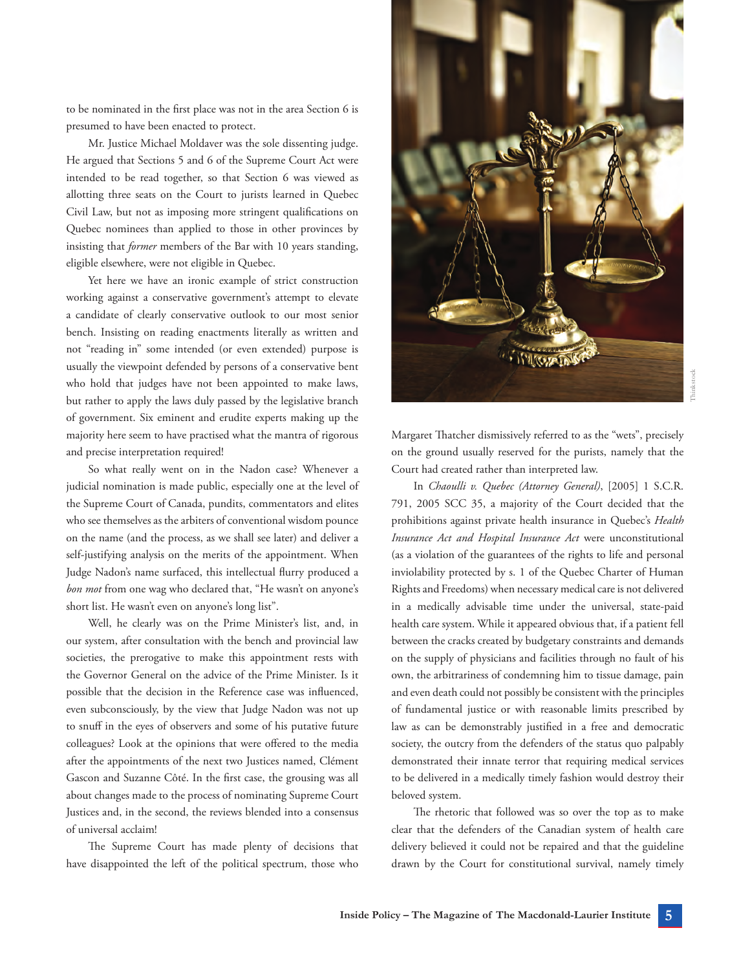to be nominated in the first place was not in the area Section 6 is presumed to have been enacted to protect.

Mr. Justice Michael Moldaver was the sole dissenting judge. He argued that Sections 5 and 6 of the Supreme Court Act were intended to be read together, so that Section 6 was viewed as allotting three seats on the Court to jurists learned in Quebec Civil Law, but not as imposing more stringent qualifications on Quebec nominees than applied to those in other provinces by insisting that *former* members of the Bar with 10 years standing, eligible elsewhere, were not eligible in Quebec.

Yet here we have an ironic example of strict construction working against a conservative government's attempt to elevate a candidate of clearly conservative outlook to our most senior bench. Insisting on reading enactments literally as written and not "reading in" some intended (or even extended) purpose is usually the viewpoint defended by persons of a conservative bent who hold that judges have not been appointed to make laws, but rather to apply the laws duly passed by the legislative branch of government. Six eminent and erudite experts making up the majority here seem to have practised what the mantra of rigorous and precise interpretation required!

So what really went on in the Nadon case? Whenever a judicial nomination is made public, especially one at the level of the Supreme Court of Canada, pundits, commentators and elites who see themselves as the arbiters of conventional wisdom pounce on the name (and the process, as we shall see later) and deliver a self-justifying analysis on the merits of the appointment. When Judge Nadon's name surfaced, this intellectual flurry produced a *bon mot* from one wag who declared that, "He wasn't on anyone's short list. He wasn't even on anyone's long list".

Well, he clearly was on the Prime Minister's list, and, in our system, after consultation with the bench and provincial law societies, the prerogative to make this appointment rests with the Governor General on the advice of the Prime Minister. Is it possible that the decision in the Reference case was influenced, even subconsciously, by the view that Judge Nadon was not up to snuff in the eyes of observers and some of his putative future colleagues? Look at the opinions that were offered to the media after the appointments of the next two Justices named, Clément Gascon and Suzanne Côté. In the first case, the grousing was all about changes made to the process of nominating Supreme Court Justices and, in the second, the reviews blended into a consensus of universal acclaim!

The Supreme Court has made plenty of decisions that have disappointed the left of the political spectrum, those who



Margaret Thatcher dismissively referred to as the "wets", precisely on the ground usually reserved for the purists, namely that the Court had created rather than interpreted law.

In *Chaoulli v. Quebec (Attorney General)*, [2005] 1 S.C.R. 791, 2005 SCC 35, a majority of the Court decided that the prohibitions against private health insurance in Quebec's *Health Insurance Act and Hospital Insurance Act* were unconstitutional (as a violation of the guarantees of the rights to life and personal inviolability protected by s. 1 of the Quebec Charter of Human Rights and Freedoms) when necessary medical care is not delivered in a medically advisable time under the universal, state-paid health care system. While it appeared obvious that, if a patient fell between the cracks created by budgetary constraints and demands on the supply of physicians and facilities through no fault of his own, the arbitrariness of condemning him to tissue damage, pain and even death could not possibly be consistent with the principles of fundamental justice or with reasonable limits prescribed by law as can be demonstrably justified in a free and democratic society, the outcry from the defenders of the status quo palpably demonstrated their innate terror that requiring medical services to be delivered in a medically timely fashion would destroy their beloved system.

The rhetoric that followed was so over the top as to make clear that the defenders of the Canadian system of health care delivery believed it could not be repaired and that the guideline drawn by the Court for constitutional survival, namely timely